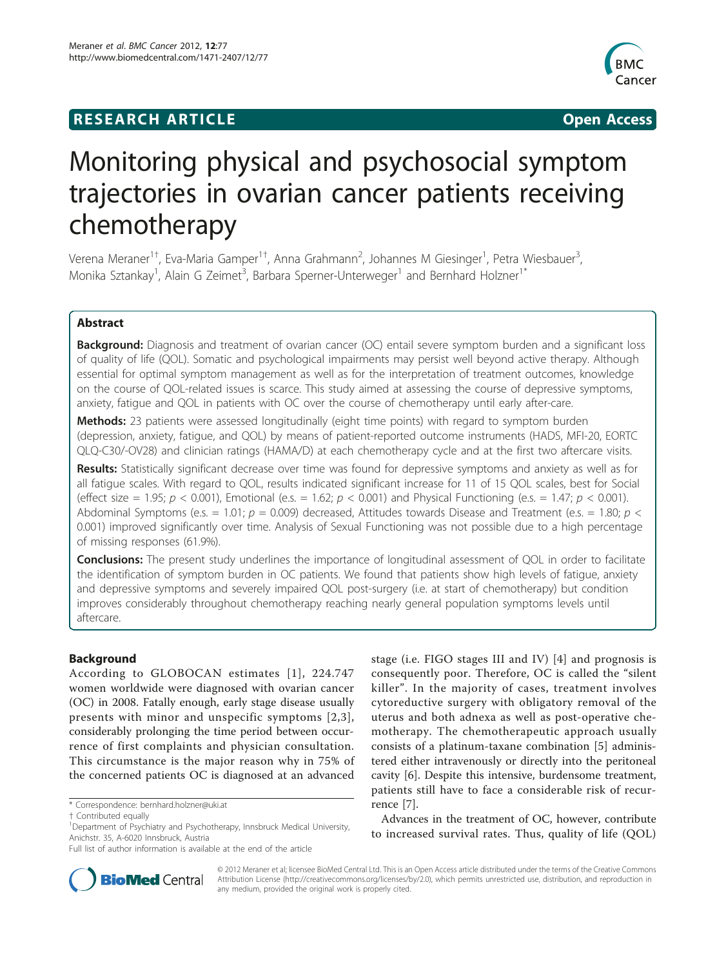# **RESEARCH ARTICLE Example 2018 Open Access**



# Monitoring physical and psychosocial symptom trajectories in ovarian cancer patients receiving chemotherapy

Verena Meraner<sup>1†</sup>, Eva-Maria Gamper<sup>1†</sup>, Anna Grahmann<sup>2</sup>, Johannes M Giesinger<sup>1</sup>, Petra Wiesbauer<sup>3</sup> , Monika Sztankay<sup>1</sup>, Alain G Zeimet<sup>3</sup>, Barbara Sperner-Unterweger<sup>1</sup> and Bernhard Holzner<sup>1\*</sup>

# Abstract

**Background:** Diagnosis and treatment of ovarian cancer (OC) entail severe symptom burden and a significant loss of quality of life (QOL). Somatic and psychological impairments may persist well beyond active therapy. Although essential for optimal symptom management as well as for the interpretation of treatment outcomes, knowledge on the course of QOL-related issues is scarce. This study aimed at assessing the course of depressive symptoms, anxiety, fatigue and QOL in patients with OC over the course of chemotherapy until early after-care.

**Methods:** 23 patients were assessed longitudinally (eight time points) with regard to symptom burden (depression, anxiety, fatigue, and QOL) by means of patient-reported outcome instruments (HADS, MFI-20, EORTC QLQ-C30/-OV28) and clinician ratings (HAMA/D) at each chemotherapy cycle and at the first two aftercare visits.

Results: Statistically significant decrease over time was found for depressive symptoms and anxiety as well as for all fatigue scales. With regard to QOL, results indicated significant increase for 11 of 15 QOL scales, best for Social (effect size = 1.95;  $p < 0.001$ ), Emotional (e.s. = 1.62;  $p < 0.001$ ) and Physical Functioning (e.s. = 1.47;  $p < 0.001$ ). Abdominal Symptoms (e.s. = 1.01;  $p = 0.009$ ) decreased, Attitudes towards Disease and Treatment (e.s. = 1.80;  $p <$ 0.001) improved significantly over time. Analysis of Sexual Functioning was not possible due to a high percentage of missing responses (61.9%).

**Conclusions:** The present study underlines the importance of longitudinal assessment of QOL in order to facilitate the identification of symptom burden in OC patients. We found that patients show high levels of fatigue, anxiety and depressive symptoms and severely impaired QOL post-surgery (i.e. at start of chemotherapy) but condition improves considerably throughout chemotherapy reaching nearly general population symptoms levels until aftercare.

# Background

According to GLOBOCAN estimates [[1](#page-7-0)], 224.747 women worldwide were diagnosed with ovarian cancer (OC) in 2008. Fatally enough, early stage disease usually presents with minor and unspecific symptoms [[2,3\]](#page-7-0), considerably prolonging the time period between occurrence of first complaints and physician consultation. This circumstance is the major reason why in 75% of the concerned patients OC is diagnosed at an advanced

\* Correspondence: [bernhard.holzner@uki.at](mailto:bernhard.holzner@uki.at)

stage (i.e. FIGO stages III and IV) [[4](#page-7-0)] and prognosis is consequently poor. Therefore, OC is called the "silent killer". In the majority of cases, treatment involves cytoreductive surgery with obligatory removal of the uterus and both adnexa as well as post-operative chemotherapy. The chemotherapeutic approach usually consists of a platinum-taxane combination [[5\]](#page-7-0) administered either intravenously or directly into the peritoneal cavity [[6\]](#page-7-0). Despite this intensive, burdensome treatment, patients still have to face a considerable risk of recurrence [\[7](#page-7-0)].

Advances in the treatment of OC, however, contribute to increased survival rates. Thus, quality of life (QOL)



© 2012 Meraner et al; licensee BioMed Central Ltd. This is an Open Access article distributed under the terms of the Creative Commons Attribution License [\(http://creativecommons.org/licenses/by/2.0](http://creativecommons.org/licenses/by/2.0)), which permits unrestricted use, distribution, and reproduction in any medium, provided the original work is properly cited.

<sup>†</sup> Contributed equally <sup>1</sup>

<sup>&</sup>lt;sup>1</sup>Department of Psychiatry and Psychotherapy, Innsbruck Medical University, Anichstr. 35, A-6020 Innsbruck, Austria

Full list of author information is available at the end of the article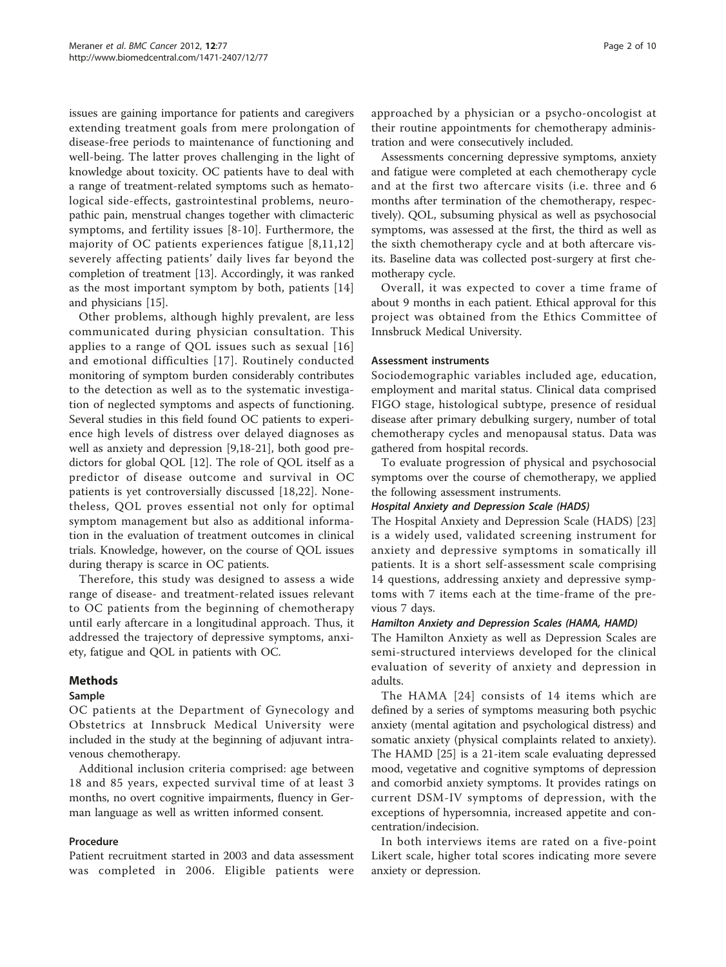issues are gaining importance for patients and caregivers extending treatment goals from mere prolongation of disease-free periods to maintenance of functioning and well-being. The latter proves challenging in the light of knowledge about toxicity. OC patients have to deal with a range of treatment-related symptoms such as hematological side-effects, gastrointestinal problems, neuropathic pain, menstrual changes together with climacteric symptoms, and fertility issues [[8-10\]](#page-7-0). Furthermore, the majority of OC patients experiences fatigue [\[8,](#page-7-0)[11,12](#page-8-0)] severely affecting patients' daily lives far beyond the completion of treatment [[13\]](#page-8-0). Accordingly, it was ranked as the most important symptom by both, patients [\[14](#page-8-0)] and physicians [[15\]](#page-8-0).

Other problems, although highly prevalent, are less communicated during physician consultation. This applies to a range of QOL issues such as sexual [[16](#page-8-0)] and emotional difficulties [[17](#page-8-0)]. Routinely conducted monitoring of symptom burden considerably contributes to the detection as well as to the systematic investigation of neglected symptoms and aspects of functioning. Several studies in this field found OC patients to experience high levels of distress over delayed diagnoses as well as anxiety and depression [\[9,](#page-7-0)[18-21](#page-8-0)], both good predictors for global QOL [[12](#page-8-0)]. The role of QOL itself as a predictor of disease outcome and survival in OC patients is yet controversially discussed [\[18](#page-8-0),[22\]](#page-8-0). Nonetheless, QOL proves essential not only for optimal symptom management but also as additional information in the evaluation of treatment outcomes in clinical trials. Knowledge, however, on the course of QOL issues during therapy is scarce in OC patients.

Therefore, this study was designed to assess a wide range of disease- and treatment-related issues relevant to OC patients from the beginning of chemotherapy until early aftercare in a longitudinal approach. Thus, it addressed the trajectory of depressive symptoms, anxiety, fatigue and QOL in patients with OC.

# Methods

#### Sample

OC patients at the Department of Gynecology and Obstetrics at Innsbruck Medical University were included in the study at the beginning of adjuvant intravenous chemotherapy.

Additional inclusion criteria comprised: age between 18 and 85 years, expected survival time of at least 3 months, no overt cognitive impairments, fluency in German language as well as written informed consent.

#### Procedure

Patient recruitment started in 2003 and data assessment was completed in 2006. Eligible patients were approached by a physician or a psycho-oncologist at their routine appointments for chemotherapy administration and were consecutively included.

Assessments concerning depressive symptoms, anxiety and fatigue were completed at each chemotherapy cycle and at the first two aftercare visits (i.e. three and 6 months after termination of the chemotherapy, respectively). QOL, subsuming physical as well as psychosocial symptoms, was assessed at the first, the third as well as the sixth chemotherapy cycle and at both aftercare visits. Baseline data was collected post-surgery at first chemotherapy cycle.

Overall, it was expected to cover a time frame of about 9 months in each patient. Ethical approval for this project was obtained from the Ethics Committee of Innsbruck Medical University.

#### Assessment instruments

Sociodemographic variables included age, education, employment and marital status. Clinical data comprised FIGO stage, histological subtype, presence of residual disease after primary debulking surgery, number of total chemotherapy cycles and menopausal status. Data was gathered from hospital records.

To evaluate progression of physical and psychosocial symptoms over the course of chemotherapy, we applied the following assessment instruments.

#### Hospital Anxiety and Depression Scale (HADS)

The Hospital Anxiety and Depression Scale (HADS) [[23](#page-8-0)] is a widely used, validated screening instrument for anxiety and depressive symptoms in somatically ill patients. It is a short self-assessment scale comprising 14 questions, addressing anxiety and depressive symptoms with 7 items each at the time-frame of the previous 7 days.

#### Hamilton Anxiety and Depression Scales (HAMA, HAMD)

The Hamilton Anxiety as well as Depression Scales are semi-structured interviews developed for the clinical evaluation of severity of anxiety and depression in adults.

The HAMA [[24\]](#page-8-0) consists of 14 items which are defined by a series of symptoms measuring both psychic anxiety (mental agitation and psychological distress) and somatic anxiety (physical complaints related to anxiety). The HAMD [[25](#page-8-0)] is a 21-item scale evaluating depressed mood, vegetative and cognitive symptoms of depression and comorbid anxiety symptoms. It provides ratings on current DSM-IV symptoms of depression, with the exceptions of hypersomnia, increased appetite and concentration/indecision.

In both interviews items are rated on a five-point Likert scale, higher total scores indicating more severe anxiety or depression.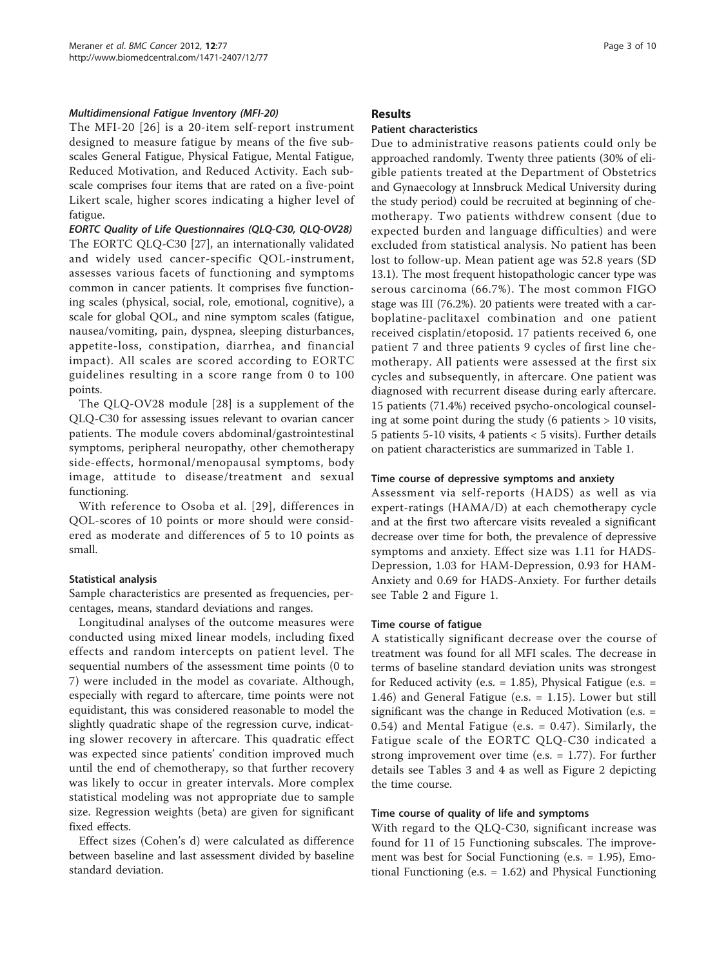# Multidimensional Fatigue Inventory (MFI-20)

The MFI-20 [[26](#page-8-0)] is a 20-item self-report instrument designed to measure fatigue by means of the five subscales General Fatigue, Physical Fatigue, Mental Fatigue, Reduced Motivation, and Reduced Activity. Each subscale comprises four items that are rated on a five-point Likert scale, higher scores indicating a higher level of fatigue.

EORTC Quality of Life Questionnaires (QLQ-C30, QLQ-OV28) The EORTC QLQ-C30 [[27](#page-8-0)], an internationally validated and widely used cancer-specific QOL-instrument, assesses various facets of functioning and symptoms common in cancer patients. It comprises five functioning scales (physical, social, role, emotional, cognitive), a scale for global QOL, and nine symptom scales (fatigue, nausea/vomiting, pain, dyspnea, sleeping disturbances, appetite-loss, constipation, diarrhea, and financial impact). All scales are scored according to EORTC guidelines resulting in a score range from 0 to 100 points.

The QLQ-OV28 module [\[28](#page-8-0)] is a supplement of the QLQ-C30 for assessing issues relevant to ovarian cancer patients. The module covers abdominal/gastrointestinal symptoms, peripheral neuropathy, other chemotherapy side-effects, hormonal/menopausal symptoms, body image, attitude to disease/treatment and sexual functioning.

With reference to Osoba et al. [[29](#page-8-0)], differences in QOL-scores of 10 points or more should were considered as moderate and differences of 5 to 10 points as small.

# Statistical analysis

Sample characteristics are presented as frequencies, percentages, means, standard deviations and ranges.

Longitudinal analyses of the outcome measures were conducted using mixed linear models, including fixed effects and random intercepts on patient level. The sequential numbers of the assessment time points (0 to 7) were included in the model as covariate. Although, especially with regard to aftercare, time points were not equidistant, this was considered reasonable to model the slightly quadratic shape of the regression curve, indicating slower recovery in aftercare. This quadratic effect was expected since patients' condition improved much until the end of chemotherapy, so that further recovery was likely to occur in greater intervals. More complex statistical modeling was not appropriate due to sample size. Regression weights (beta) are given for significant fixed effects.

Effect sizes (Cohen's d) were calculated as difference between baseline and last assessment divided by baseline standard deviation.

#### Results

# Patient characteristics

Due to administrative reasons patients could only be approached randomly. Twenty three patients (30% of eligible patients treated at the Department of Obstetrics and Gynaecology at Innsbruck Medical University during the study period) could be recruited at beginning of chemotherapy. Two patients withdrew consent (due to expected burden and language difficulties) and were excluded from statistical analysis. No patient has been lost to follow-up. Mean patient age was 52.8 years (SD 13.1). The most frequent histopathologic cancer type was serous carcinoma (66.7%). The most common FIGO stage was III (76.2%). 20 patients were treated with a carboplatine-paclitaxel combination and one patient received cisplatin/etoposid. 17 patients received 6, one patient 7 and three patients 9 cycles of first line chemotherapy. All patients were assessed at the first six cycles and subsequently, in aftercare. One patient was diagnosed with recurrent disease during early aftercare. 15 patients (71.4%) received psycho-oncological counseling at some point during the study (6 patients  $> 10$  visits, 5 patients 5-10 visits, 4 patients < 5 visits). Further details on patient characteristics are summarized in Table [1](#page-3-0).

#### Time course of depressive symptoms and anxiety

Assessment via self-reports (HADS) as well as via expert-ratings (HAMA/D) at each chemotherapy cycle and at the first two aftercare visits revealed a significant decrease over time for both, the prevalence of depressive symptoms and anxiety. Effect size was 1.11 for HADS-Depression, 1.03 for HAM-Depression, 0.93 for HAM-Anxiety and 0.69 for HADS-Anxiety. For further details see Table [2](#page-4-0) and Figure [1.](#page-4-0)

#### Time course of fatigue

A statistically significant decrease over the course of treatment was found for all MFI scales. The decrease in terms of baseline standard deviation units was strongest for Reduced activity (e.s.  $= 1.85$ ), Physical Fatigue (e.s.  $=$ 1.46) and General Fatigue (e.s. = 1.15). Lower but still significant was the change in Reduced Motivation (e.s. = 0.54) and Mental Fatigue (e.s. = 0.47). Similarly, the Fatigue scale of the EORTC QLQ-C30 indicated a strong improvement over time (e.s. = 1.77). For further details see Tables [3](#page-5-0) and [4](#page-5-0) as well as Figure [2](#page-6-0) depicting the time course.

# Time course of quality of life and symptoms

With regard to the QLQ-C30, significant increase was found for 11 of 15 Functioning subscales. The improvement was best for Social Functioning (e.s. = 1.95), Emotional Functioning (e.s. = 1.62) and Physical Functioning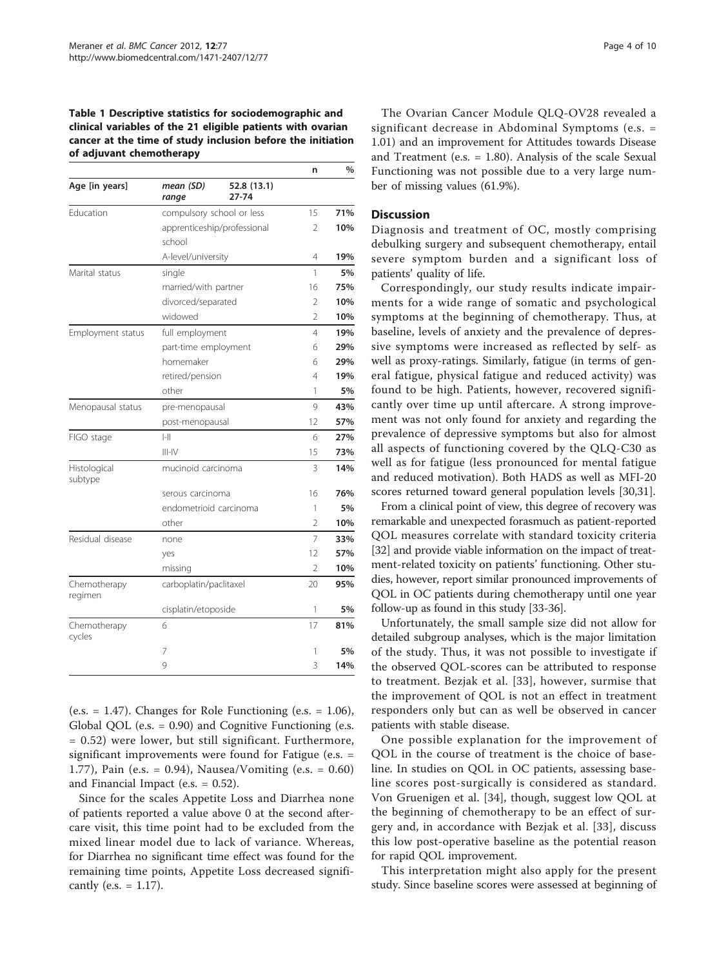#### <span id="page-3-0"></span>Table 1 Descriptive statistics for sociodemographic and clinical variables of the 21 eligible patients with ovarian cancer at the time of study inclusion before the initiation of adjuvant chemotherapy

|                         |                           |                             | n              | $\%$ |
|-------------------------|---------------------------|-----------------------------|----------------|------|
| Age [in years]          | mean (SD)<br>range        | 52.8 (13.1)<br>27-74        |                |      |
| Education               | compulsory school or less |                             | 15             | 71%  |
|                         | school                    | apprenticeship/professional | $\overline{2}$ | 10%  |
|                         | A-level/university        |                             | 4              | 19%  |
| Marital status          | single                    |                             | 1              | 5%   |
|                         | married/with partner      |                             | 16             | 75%  |
|                         | divorced/separated        |                             | 2              | 10%  |
|                         | widowed                   |                             | 2              | 10%  |
| Employment status       | full employment           |                             | 4              | 19%  |
|                         | part-time employment      |                             | 6              | 29%  |
|                         | homemaker                 |                             | 6              | 29%  |
|                         | retired/pension           |                             | 4              | 19%  |
|                         | other                     |                             | 1              | 5%   |
| Menopausal status       | pre-menopausal            |                             | 9              | 43%  |
|                         | post-menopausal           |                             | 12             | 57%  |
| FIGO stage              | $ -  $                    |                             | 6              | 27%  |
|                         | $III - IV$                |                             | 15             | 73%  |
| Histological<br>subtype | mucinoid carcinoma        |                             | 3              | 14%  |
|                         | serous carcinoma          |                             | 16             | 76%  |
|                         | endometrioid carcinoma    |                             | 1              | 5%   |
|                         | other                     |                             | 2              | 10%  |
| Residual disease        | none                      |                             | 7              | 33%  |
|                         | yes                       |                             | 12             | 57%  |
|                         | missing                   |                             | 2              | 10%  |
| Chemotherapy<br>regimen | carboplatin/paclitaxel    |                             | 20             | 95%  |
|                         | cisplatin/etoposide       |                             | 1              | 5%   |
| Chemotherapy<br>cycles  | 6                         |                             | 17             | 81%  |
|                         | 7                         |                             | 1              | 5%   |
|                         | 9                         |                             | 3              | 14%  |

(e.s.  $= 1.47$ ). Changes for Role Functioning (e.s.  $= 1.06$ ), Global QOL (e.s. = 0.90) and Cognitive Functioning (e.s. = 0.52) were lower, but still significant. Furthermore, significant improvements were found for Fatigue (e.s. = 1.77), Pain (e.s. = 0.94), Nausea/Vomiting (e.s. = 0.60) and Financial Impact (e.s. = 0.52).

Since for the scales Appetite Loss and Diarrhea none of patients reported a value above 0 at the second aftercare visit, this time point had to be excluded from the mixed linear model due to lack of variance. Whereas, for Diarrhea no significant time effect was found for the remaining time points, Appetite Loss decreased significantly (e.s.  $= 1.17$ ).

The Ovarian Cancer Module QLQ-OV28 revealed a significant decrease in Abdominal Symptoms (e.s. = 1.01) and an improvement for Attitudes towards Disease and Treatment (e.s. = 1.80). Analysis of the scale Sexual Functioning was not possible due to a very large number of missing values (61.9%).

#### **Discussion**

Diagnosis and treatment of OC, mostly comprising debulking surgery and subsequent chemotherapy, entail severe symptom burden and a significant loss of patients' quality of life.

Correspondingly, our study results indicate impairments for a wide range of somatic and psychological symptoms at the beginning of chemotherapy. Thus, at baseline, levels of anxiety and the prevalence of depressive symptoms were increased as reflected by self- as well as proxy-ratings. Similarly, fatigue (in terms of general fatigue, physical fatigue and reduced activity) was found to be high. Patients, however, recovered significantly over time up until aftercare. A strong improvement was not only found for anxiety and regarding the prevalence of depressive symptoms but also for almost all aspects of functioning covered by the QLQ-C30 as well as for fatigue (less pronounced for mental fatigue and reduced motivation). Both HADS as well as MFI-20 scores returned toward general population levels [\[30,31\]](#page-8-0).

From a clinical point of view, this degree of recovery was remarkable and unexpected forasmuch as patient-reported QOL measures correlate with standard toxicity criteria [[32](#page-8-0)] and provide viable information on the impact of treatment-related toxicity on patients' functioning. Other studies, however, report similar pronounced improvements of QOL in OC patients during chemotherapy until one year follow-up as found in this study [[33-36](#page-8-0)].

Unfortunately, the small sample size did not allow for detailed subgroup analyses, which is the major limitation of the study. Thus, it was not possible to investigate if the observed QOL-scores can be attributed to response to treatment. Bezjak et al. [[33](#page-8-0)], however, surmise that the improvement of QOL is not an effect in treatment responders only but can as well be observed in cancer patients with stable disease.

One possible explanation for the improvement of QOL in the course of treatment is the choice of baseline. In studies on QOL in OC patients, assessing baseline scores post-surgically is considered as standard. Von Gruenigen et al. [\[34](#page-8-0)], though, suggest low QOL at the beginning of chemotherapy to be an effect of surgery and, in accordance with Bezjak et al. [[33\]](#page-8-0), discuss this low post-operative baseline as the potential reason for rapid QOL improvement.

This interpretation might also apply for the present study. Since baseline scores were assessed at beginning of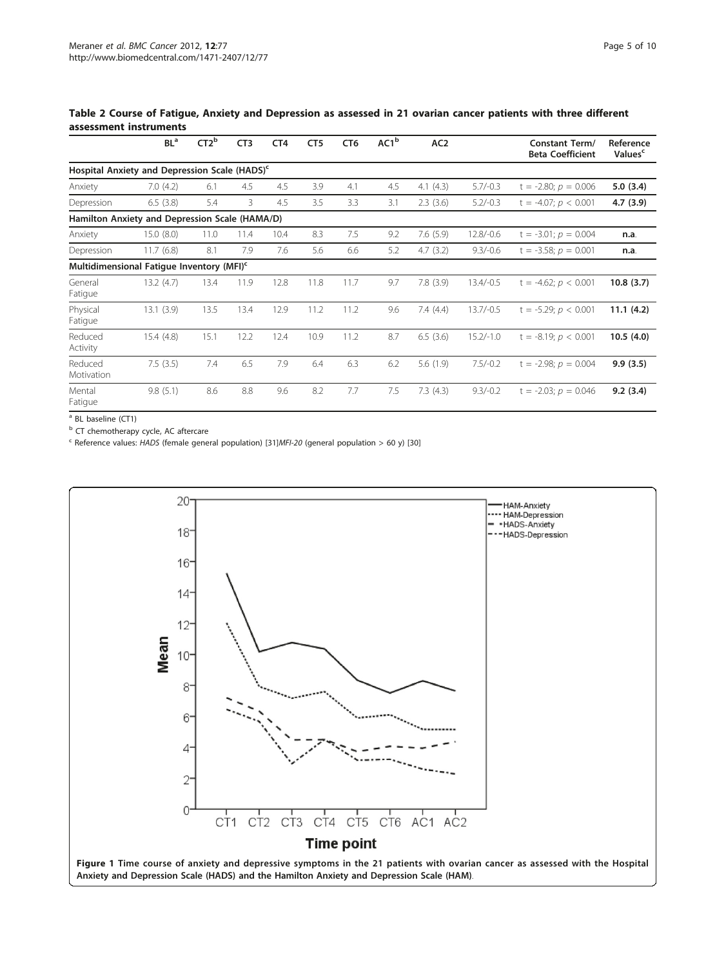<span id="page-4-0"></span>Table 2 Course of Fatigue, Anxiety and Depression as assessed in 21 ovarian cancer patients with three different assessment instruments

|                                                | BL <sup>a</sup>                                           | CT2 <sup>b</sup> | CT <sub>3</sub> | CT <sub>4</sub> | CT <sub>5</sub> | CT <sub>6</sub> | AC1 <sup>b</sup> | AC <sub>2</sub> |             | <b>Constant Term/</b><br><b>Beta Coefficient</b> | Reference<br>Values <sup>c</sup> |
|------------------------------------------------|-----------------------------------------------------------|------------------|-----------------|-----------------|-----------------|-----------------|------------------|-----------------|-------------|--------------------------------------------------|----------------------------------|
|                                                | Hospital Anxiety and Depression Scale (HADS) <sup>c</sup> |                  |                 |                 |                 |                 |                  |                 |             |                                                  |                                  |
| Anxiety                                        | 7.0(4.2)                                                  | 6.1              | 4.5             | 4.5             | 3.9             | 4.1             | 4.5              | 4.1(4.3)        | $5.7/-0.3$  | $t = -2.80; p = 0.006$                           | 5.0(3.4)                         |
| Depression                                     | 6.5(3.8)                                                  | 5.4              | 3               | 4.5             | 3.5             | 3.3             | 3.1              | 2.3(3.6)        | $5.2/-0.3$  | $t = -4.07; p < 0.001$                           | 4.7(3.9)                         |
| Hamilton Anxiety and Depression Scale (HAMA/D) |                                                           |                  |                 |                 |                 |                 |                  |                 |             |                                                  |                                  |
| Anxiety                                        | 15.0(8.0)                                                 | 11.0             | 11.4            | 10.4            | 8.3             | 7.5             | 9.2              | 7.6(5.9)        | $12.8/-0.6$ | $t = -3.01; p = 0.004$                           | n.a.                             |
| Depression                                     | 11.7(6.8)                                                 | 8.1              | 7.9             | 7.6             | 5.6             | 6.6             | 5.2              | 4.7(3.2)        | $9.3/-0.6$  | $t = -3.58; p = 0.001$                           | n.a.                             |
|                                                | Multidimensional Fatique Inventory (MFI) <sup>c</sup>     |                  |                 |                 |                 |                 |                  |                 |             |                                                  |                                  |
| General<br>Fatigue                             | 13.2(4.7)                                                 | 13.4             | 11.9            | 12.8            | 11.8            | 11.7            | 9.7              | 7.8(3.9)        | $13.4/-0.5$ | $t = -4.62$ ; $p < 0.001$                        | 10.8(3.7)                        |
| Physical<br>Fatigue                            | 13.1(3.9)                                                 | 13.5             | 13.4            | 12.9            | 11.2            | 11.2            | 9.6              | 7.4(4.4)        | $13.7/-0.5$ | $t = -5.29; p < 0.001$                           | 11.1(4.2)                        |
| Reduced<br>Activity                            | 15.4(4.8)                                                 | 15.1             | 12.2            | 12.4            | 10.9            | 11.2            | 8.7              | 6.5(3.6)        | $15.2/-1.0$ | $t = -8.19$ ; $p < 0.001$                        | 10.5(4.0)                        |
| Reduced<br>Motivation                          | 7.5(3.5)                                                  | 7.4              | 6.5             | 7.9             | 6.4             | 6.3             | 6.2              | 5.6(1.9)        | $7.5/-0.2$  | $t = -2.98; p = 0.004$                           | 9.9(3.5)                         |
| Mental<br>Fatigue                              | 9.8(5.1)                                                  | 8.6              | 8.8             | 9.6             | 8.2             | 7.7             | 7.5              | 7.3(4.3)        | $9.3/-0.2$  | $t = -2.03; p = 0.046$                           | 9.2(3.4)                         |

<sup>a</sup> BL baseline (CT1)

**b** CT chemotherapy cycle, AC aftercare

 $\textdegree$  Reference values: HADS (female general population) [[31\]](#page-8-0)MFI-20 (general population > 60 y) [\[30\]](#page-8-0)

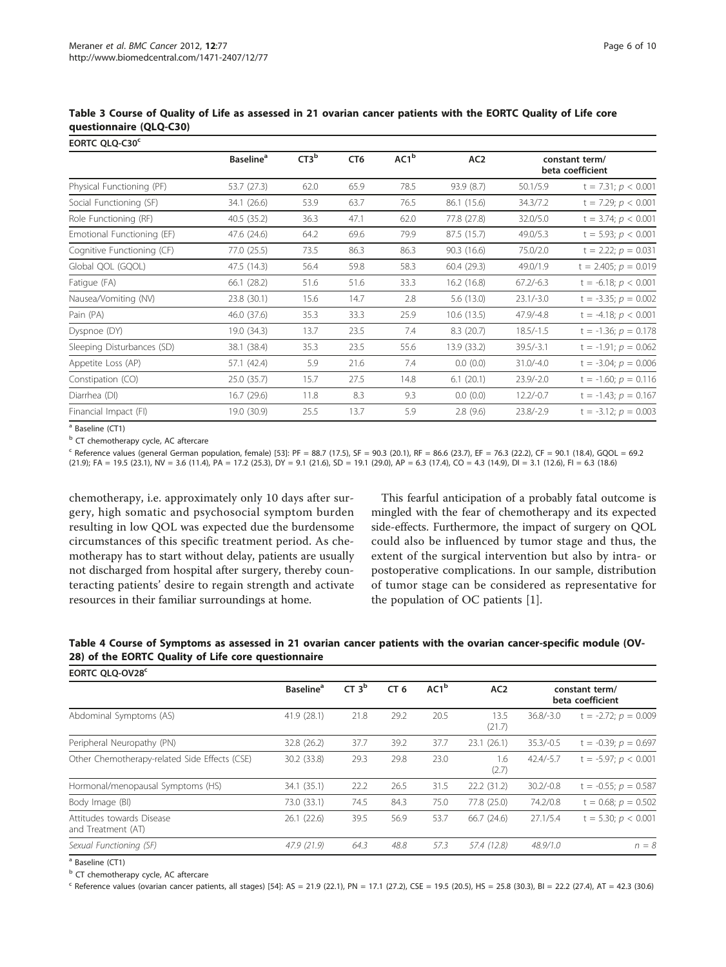| EORTC QLQ-C30 <sup>c</sup> |                              |                  |                 |      |                 |                                    |                          |
|----------------------------|------------------------------|------------------|-----------------|------|-----------------|------------------------------------|--------------------------|
|                            | <b>Baseline</b> <sup>a</sup> | CT3 <sup>b</sup> | CT <sub>6</sub> | AC1b | AC <sub>2</sub> | constant term/<br>beta coefficient |                          |
| Physical Functioning (PF)  | 53.7 (27.3)                  | 62.0             | 65.9            | 78.5 | 93.9 (8.7)      | 50.1/5.9                           | $t = 7.31; p < 0.001$    |
| Social Functioning (SF)    | 34.1 (26.6)                  | 53.9             | 63.7            | 76.5 | 86.1 (15.6)     | 34.3/7.2                           | $t = 7.29; p < 0.001$    |
| Role Functioning (RF)      | 40.5 (35.2)                  | 36.3             | 47.1            | 62.0 | 77.8 (27.8)     | 32.0/5.0                           | $t = 3.74; p < 0.001$    |
| Emotional Functioning (EF) | 47.6 (24.6)                  | 64.2             | 69.6            | 79.9 | 87.5 (15.7)     | 49.0/5.3                           | $t = 5.93; p < 0.001$    |
| Cognitive Functioning (CF) | 77.0 (25.5)                  | 73.5             | 86.3            | 86.3 | 90.3(16.6)      | 75.0/2.0                           | $t = 2.22$ ; $p = 0.031$ |
| Global QOL (GQOL)          | 47.5 (14.3)                  | 56.4             | 59.8            | 58.3 | 60.4(29.3)      | 49.0/1.9                           | $t = 2.405; p = 0.019$   |
| Fatigue (FA)               | 66.1 (28.2)                  | 51.6             | 51.6            | 33.3 | 16.2 (16.8)     | $67.2/-6.3$                        | $t = -6.18; p < 0.001$   |
| Nausea/Vomiting (NV)       | 23.8 (30.1)                  | 15.6             | 14.7            | 2.8  | 5.6(13.0)       | $23.1/-3.0$                        | $t = -3.35; p = 0.002$   |
| Pain (PA)                  | 46.0 (37.6)                  | 35.3             | 33.3            | 25.9 | 10.6(13.5)      | $47.9/-4.8$                        | $t = -4.18; p < 0.001$   |
| Dyspnoe (DY)               | 19.0 (34.3)                  | 13.7             | 23.5            | 7.4  | 8.3(20.7)       | $18.5/-1.5$                        | $t = -1.36; p = 0.178$   |
| Sleeping Disturbances (SD) | 38.1 (38.4)                  | 35.3             | 23.5            | 55.6 | 13.9 (33.2)     | $39.5/-3.1$                        | $t = -1.91; p = 0.062$   |
| Appetite Loss (AP)         | 57.1 (42.4)                  | 5.9              | 21.6            | 7.4  | 0.0(0.0)        | $31.0/-4.0$                        | $t = -3.04; p = 0.006$   |
| Constipation (CO)          | 25.0 (35.7)                  | 15.7             | 27.5            | 14.8 | 6.1(20.1)       | $23.9/-2.0$                        | $t = -1.60; p = 0.116$   |
| Diarrhea (DI)              | 16.7(29.6)                   | 11.8             | 8.3             | 9.3  | 0.0(0.0)        | $12.2/-0.7$                        | $t = -1.43; p = 0.167$   |
| Financial Impact (FI)      | 19.0 (30.9)                  | 25.5             | 13.7            | 5.9  | 2.8(9.6)        | $23.8/-2.9$                        | $t = -3.12; p = 0.003$   |

<span id="page-5-0"></span>Table 3 Course of Quality of Life as assessed in 21 ovarian cancer patients with the EORTC Quality of Life core questionnaire (QLQ-C30)

<sup>a</sup> Baseline (CT1)

<sup>b</sup> CT chemotherapy cycle, AC aftercare

 $c$  Reference values (general German population, female) [\[53](#page-9-0)]: PF = 88.7 (17.5), SF = 90.3 (20.1), RF = 86.6 (23.7), EF = 76.3 (22.2), CF = 90.1 (18.4), GQOL = 69.2 (21.9); FA = 19.5 (23.1), NV = 3.6 (11.4), PA = 17.2 (25.3), DY = 9.1 (21.6), SD = 19.1 (29.0), AP = 6.3 (17.4), CO = 4.3 (14.9), DI = 3.1 (12.6), FI = 6.3 (18.6)

chemotherapy, i.e. approximately only 10 days after surgery, high somatic and psychosocial symptom burden resulting in low QOL was expected due the burdensome circumstances of this specific treatment period. As chemotherapy has to start without delay, patients are usually not discharged from hospital after surgery, thereby counteracting patients' desire to regain strength and activate resources in their familiar surroundings at home.

This fearful anticipation of a probably fatal outcome is mingled with the fear of chemotherapy and its expected side-effects. Furthermore, the impact of surgery on QOL could also be influenced by tumor stage and thus, the extent of the surgical intervention but also by intra- or postoperative complications. In our sample, distribution of tumor stage can be considered as representative for the population of OC patients [[1\]](#page-7-0).

Table 4 Course of Symptoms as assessed in 21 ovarian cancer patients with the ovarian cancer-specific module (OV-28) of the EORTC Quality of Life core questionnaire

| EORTC OLO-OV28 <sup>c</sup>                     |                              |                   |                 |                  |                 |                                    |                           |
|-------------------------------------------------|------------------------------|-------------------|-----------------|------------------|-----------------|------------------------------------|---------------------------|
|                                                 | <b>Baseline</b> <sup>a</sup> | CT 3 <sup>b</sup> | CT <sub>6</sub> | AC1 <sup>b</sup> | AC <sub>2</sub> | constant term/<br>beta coefficient |                           |
| Abdominal Symptoms (AS)                         | 41.9 (28.1)                  | 21.8              | 29.2            | 20.5             | 13.5<br>(21.7)  | $36.8/-3.0$                        | $t = -2.72$ ; $p = 0.009$ |
| Peripheral Neuropathy (PN)                      | 32.8 (26.2)                  | 37.7              | 39.2            | 37.7             | 23.1(26.1)      | $35.3/-0.5$                        | $t = -0.39; p = 0.697$    |
| Other Chemotherapy-related Side Effects (CSE)   | 30.2 (33.8)                  | 29.3              | 29.8            | 23.0             | 1.6<br>(2.7)    | $42.4/-5.7$                        | $t = -5.97; p < 0.001$    |
| Hormonal/menopausal Symptoms (HS)               | 34.1 (35.1)                  | 22.2              | 26.5            | 31.5             | 22.2 (31.2)     | $30.2/-0.8$                        | $t = -0.55$ ; $p = 0.587$ |
| Body Image (BI)                                 | 73.0 (33.1)                  | 74.5              | 84.3            | 75.0             | 77.8 (25.0)     | 74.2/0.8                           | $t = 0.68$ ; $p = 0.502$  |
| Attitudes towards Disease<br>and Treatment (AT) | 26.1 (22.6)                  | 39.5              | 56.9            | 53.7             | 66.7 (24.6)     | 27.1/5.4                           | $t = 5.30; p < 0.001$     |
| Sexual Functioning (SF)                         | 47.9 (21.9)                  | 64.3              | 48.8            | 57.3             | 57.4 (12.8)     | 48.9/1.0                           | $n = 8$                   |
|                                                 |                              |                   |                 |                  |                 |                                    |                           |

<sup>a</sup> Baseline (CT1)

**b** CT chemotherapy cycle, AC aftercare

 $c$  Reference values (ovarian cancer patients, all stages) [[54\]](#page-9-0): AS = 21.9 (22.1), PN = 17.1 (27.2), CSE = 19.5 (20.5), HS = 25.8 (30.3), BI = 22.2 (27.4), AT = 42.3 (30.6)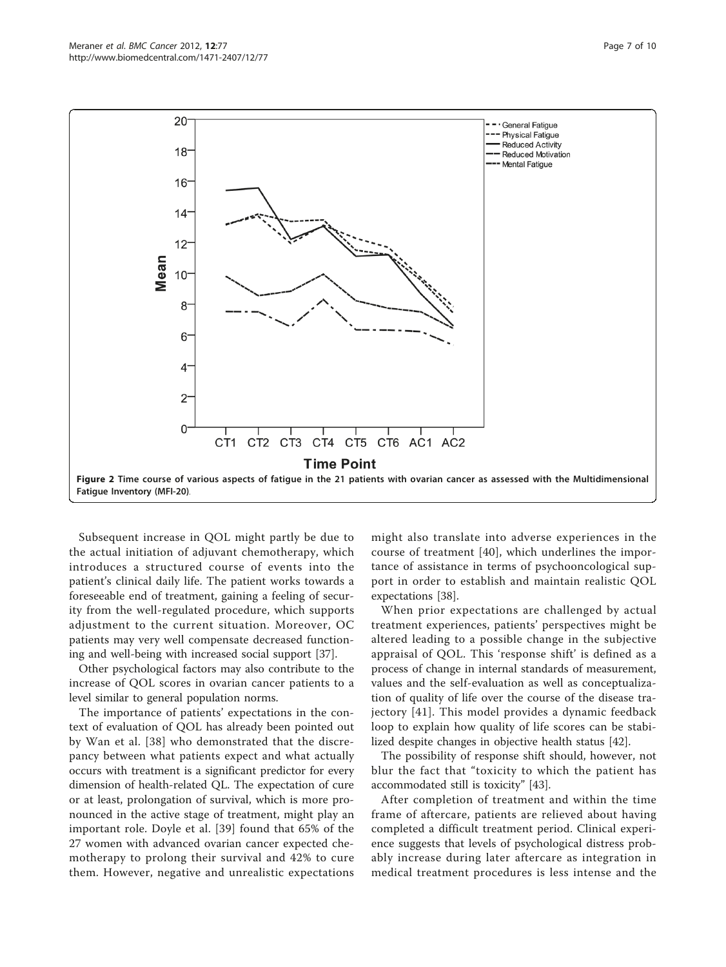<span id="page-6-0"></span>

Subsequent increase in QOL might partly be due to the actual initiation of adjuvant chemotherapy, which introduces a structured course of events into the patient's clinical daily life. The patient works towards a foreseeable end of treatment, gaining a feeling of security from the well-regulated procedure, which supports adjustment to the current situation. Moreover, OC patients may very well compensate decreased functioning and well-being with increased social support [[37\]](#page-8-0).

Other psychological factors may also contribute to the increase of QOL scores in ovarian cancer patients to a level similar to general population norms.

The importance of patients' expectations in the context of evaluation of QOL has already been pointed out by Wan et al. [[38\]](#page-8-0) who demonstrated that the discrepancy between what patients expect and what actually occurs with treatment is a significant predictor for every dimension of health-related QL. The expectation of cure or at least, prolongation of survival, which is more pronounced in the active stage of treatment, might play an important role. Doyle et al. [[39](#page-8-0)] found that 65% of the 27 women with advanced ovarian cancer expected chemotherapy to prolong their survival and 42% to cure them. However, negative and unrealistic expectations might also translate into adverse experiences in the course of treatment [[40](#page-8-0)], which underlines the importance of assistance in terms of psychooncological support in order to establish and maintain realistic QOL expectations [[38](#page-8-0)].

When prior expectations are challenged by actual treatment experiences, patients' perspectives might be altered leading to a possible change in the subjective appraisal of QOL. This 'response shift' is defined as a process of change in internal standards of measurement, values and the self-evaluation as well as conceptualization of quality of life over the course of the disease trajectory [[41](#page-8-0)]. This model provides a dynamic feedback loop to explain how quality of life scores can be stabilized despite changes in objective health status [[42](#page-8-0)].

The possibility of response shift should, however, not blur the fact that "toxicity to which the patient has accommodated still is toxicity" [\[43\]](#page-8-0).

After completion of treatment and within the time frame of aftercare, patients are relieved about having completed a difficult treatment period. Clinical experience suggests that levels of psychological distress probably increase during later aftercare as integration in medical treatment procedures is less intense and the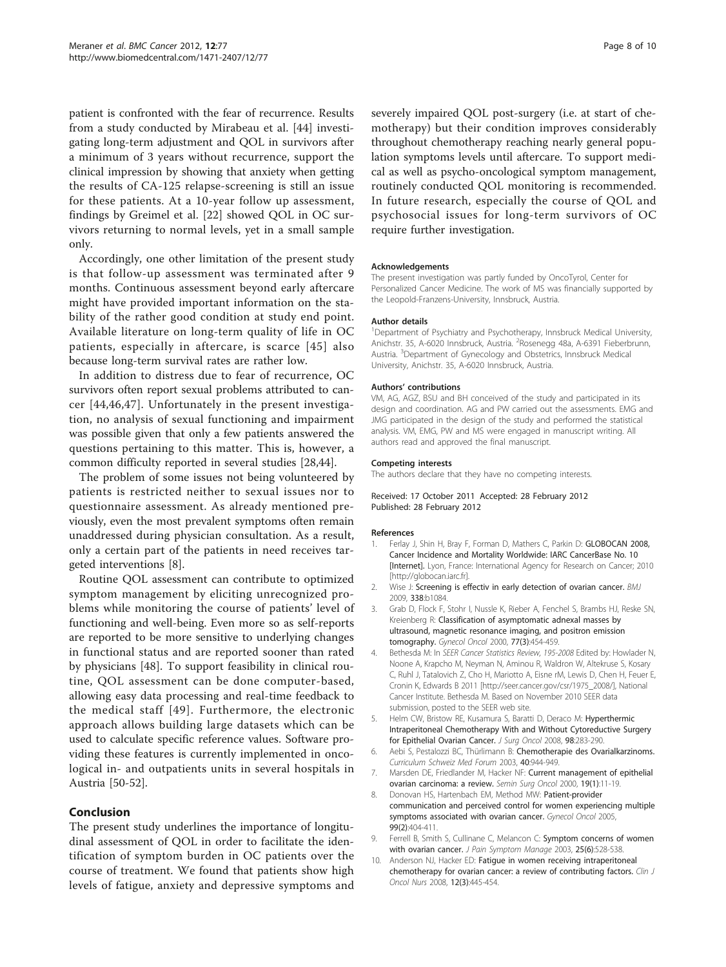<span id="page-7-0"></span>patient is confronted with the fear of recurrence. Results from a study conducted by Mirabeau et al. [\[44](#page-8-0)] investigating long-term adjustment and QOL in survivors after a minimum of 3 years without recurrence, support the clinical impression by showing that anxiety when getting the results of CA-125 relapse-screening is still an issue for these patients. At a 10-year follow up assessment, findings by Greimel et al. [[22\]](#page-8-0) showed QOL in OC survivors returning to normal levels, yet in a small sample only.

Accordingly, one other limitation of the present study is that follow-up assessment was terminated after 9 months. Continuous assessment beyond early aftercare might have provided important information on the stability of the rather good condition at study end point. Available literature on long-term quality of life in OC patients, especially in aftercare, is scarce [[45](#page-8-0)] also because long-term survival rates are rather low.

In addition to distress due to fear of recurrence, OC survivors often report sexual problems attributed to cancer [[44,46,47](#page-8-0)]. Unfortunately in the present investigation, no analysis of sexual functioning and impairment was possible given that only a few patients answered the questions pertaining to this matter. This is, however, a common difficulty reported in several studies [[28,44](#page-8-0)].

The problem of some issues not being volunteered by patients is restricted neither to sexual issues nor to questionnaire assessment. As already mentioned previously, even the most prevalent symptoms often remain unaddressed during physician consultation. As a result, only a certain part of the patients in need receives targeted interventions [8].

Routine QOL assessment can contribute to optimized symptom management by eliciting unrecognized problems while monitoring the course of patients' level of functioning and well-being. Even more so as self-reports are reported to be more sensitive to underlying changes in functional status and are reported sooner than rated by physicians [\[48](#page-8-0)]. To support feasibility in clinical routine, QOL assessment can be done computer-based, allowing easy data processing and real-time feedback to the medical staff [[49\]](#page-8-0). Furthermore, the electronic approach allows building large datasets which can be used to calculate specific reference values. Software providing these features is currently implemented in oncological in- and outpatients units in several hospitals in Austria [[50-52\]](#page-8-0).

# Conclusion

The present study underlines the importance of longitudinal assessment of QOL in order to facilitate the identification of symptom burden in OC patients over the course of treatment. We found that patients show high levels of fatigue, anxiety and depressive symptoms and severely impaired QOL post-surgery (i.e. at start of chemotherapy) but their condition improves considerably throughout chemotherapy reaching nearly general population symptoms levels until aftercare. To support medical as well as psycho-oncological symptom management, routinely conducted QOL monitoring is recommended. In future research, especially the course of QOL and psychosocial issues for long-term survivors of OC require further investigation.

#### Acknowledgements

The present investigation was partly funded by OncoTyrol, Center for Personalized Cancer Medicine. The work of MS was financially supported by the Leopold-Franzens-University, Innsbruck, Austria.

#### Author details

<sup>1</sup>Department of Psychiatry and Psychotherapy, Innsbruck Medical University, Anichstr. 35, A-6020 Innsbruck, Austria. <sup>2</sup>Rosenegg 48a, A-6391 Fieberbrunn Austria. <sup>3</sup> Department of Gynecology and Obstetrics, Innsbruck Medical University, Anichstr. 35, A-6020 Innsbruck, Austria.

#### Authors' contributions

VM, AG, AGZ, BSU and BH conceived of the study and participated in its design and coordination. AG and PW carried out the assessments. EMG and JMG participated in the design of the study and performed the statistical analysis. VM, EMG, PW and MS were engaged in manuscript writing. All authors read and approved the final manuscript.

#### Competing interests

The authors declare that they have no competing interests.

Received: 17 October 2011 Accepted: 28 February 2012 Published: 28 February 2012

#### References

- Ferlay J, Shin H, Bray F, Forman D, Mathers C, Parkin D: GLOBOCAN 2008, Cancer Incidence and Mortality Worldwide: IARC CancerBase No. 10 [Internet]. Lyon, France: International Agency for Research on Cancer; 2010 [<http://globocan.iarc.fr>].
- 2. Wise J: [Screening is effectiv in early detection of ovarian cancer.](http://www.ncbi.nlm.nih.gov/pubmed/19293225?dopt=Abstract) BMJ 2009, 338:b1084.
- 3. Grab D, Flock F, Stohr I, Nussle K, Rieber A, Fenchel S, Brambs HJ, Reske SN, Kreienberg R: [Classification of asymptomatic adnexal masses by](http://www.ncbi.nlm.nih.gov/pubmed/10831359?dopt=Abstract) [ultrasound, magnetic resonance imaging, and positron emission](http://www.ncbi.nlm.nih.gov/pubmed/10831359?dopt=Abstract) [tomography.](http://www.ncbi.nlm.nih.gov/pubmed/10831359?dopt=Abstract) Gynecol Oncol 2000, 77(3):454-459.
- 4. Bethesda M: In SEER Cancer Statistics Review, 195-2008 Edited by: Howlader N, Noone A, Krapcho M, Neyman N, Aminou R, Waldron W, Altekruse S, Kosary C, Ruhl J, Tatalovich Z, Cho H, Mariotto A, Eisne rM, Lewis D, Chen H, Feuer E, Cronin K, Edwards B 2011 [[http://seer.cancer.gov/csr/1975\\_2008/\]](http://seer.cancer.gov/csr/1975_2008/), National Cancer Institute. Bethesda M. Based on November 2010 SEER data submission, posted to the SEER web site.
- 5. Helm CW, Bristow RE, Kusamura S, Baratti D, Deraco M: [Hyperthermic](http://www.ncbi.nlm.nih.gov/pubmed/18726895?dopt=Abstract) [Intraperitoneal Chemotherapy With and Without Cytoreductive Surgery](http://www.ncbi.nlm.nih.gov/pubmed/18726895?dopt=Abstract) [for Epithelial Ovarian Cancer.](http://www.ncbi.nlm.nih.gov/pubmed/18726895?dopt=Abstract) J Surg Oncol 2008, 98:283-290.
- 6. Aebi S, Pestalozzi BC, Thürlimann B: Chemotherapie des Ovarialkarzinoms. Curriculum Schweiz Med Forum 2003, 40:944-949.
- 7. Marsden DE, Friedlander M, Hacker NF: [Current management of epithelial](http://www.ncbi.nlm.nih.gov/pubmed/10883019?dopt=Abstract) [ovarian carcinoma: a review.](http://www.ncbi.nlm.nih.gov/pubmed/10883019?dopt=Abstract) Semin Surg Oncol 2000, 19(1):11-19.
- 8. Donovan HS, Hartenbach EM, Method MW: [Patient-provider](http://www.ncbi.nlm.nih.gov/pubmed/16112174?dopt=Abstract) [communication and perceived control for women experiencing multiple](http://www.ncbi.nlm.nih.gov/pubmed/16112174?dopt=Abstract) [symptoms associated with ovarian cancer.](http://www.ncbi.nlm.nih.gov/pubmed/16112174?dopt=Abstract) Gynecol Oncol 2005, 99(2):404-411.
- 9. Ferrell B, Smith S, Cullinane C, Melancon C: [Symptom concerns of women](http://www.ncbi.nlm.nih.gov/pubmed/12782433?dopt=Abstract) [with ovarian cancer.](http://www.ncbi.nlm.nih.gov/pubmed/12782433?dopt=Abstract) J Pain Symptom Manage 2003, 25(6):528-538.
- 10. Anderson NJ, Hacker ED: [Fatigue in women receiving intraperitoneal](http://www.ncbi.nlm.nih.gov/pubmed/18515243?dopt=Abstract) [chemotherapy for ovarian cancer: a review of contributing factors.](http://www.ncbi.nlm.nih.gov/pubmed/18515243?dopt=Abstract) Clin J Oncol Nurs 2008, 12(3):445-454.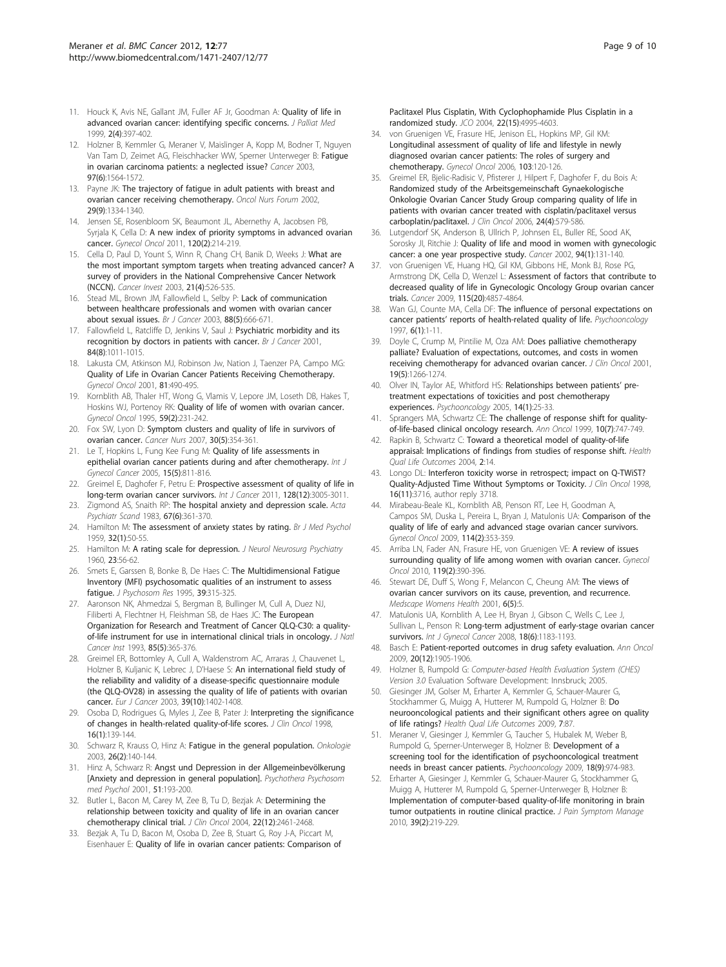- <span id="page-8-0"></span>11. Houck K, Avis NE, Gallant JM, Fuller AF Jr, Goodman A: **[Quality of life in](http://www.ncbi.nlm.nih.gov/pubmed/15859780?dopt=Abstract)** [advanced ovarian cancer: identifying specific concerns.](http://www.ncbi.nlm.nih.gov/pubmed/15859780?dopt=Abstract) J Palliat Med 1999, 2(4):397-402.
- 12. Holzner B, Kemmler G, Meraner V, Maislinger A, Kopp M, Bodner T, Nguyen Van Tam D, Zeimet AG, Fleischhacker WW, Sperner Unterweger B: [Fatigue](http://www.ncbi.nlm.nih.gov/pubmed/12627522?dopt=Abstract) [in ovarian carcinoma patients: a neglected issue?](http://www.ncbi.nlm.nih.gov/pubmed/12627522?dopt=Abstract) Cancer 2003, 97(6):1564-1572.
- 13. Payne JK: [The trajectory of fatigue in adult patients with breast and](http://www.ncbi.nlm.nih.gov/pubmed/12370703?dopt=Abstract) [ovarian cancer receiving chemotherapy.](http://www.ncbi.nlm.nih.gov/pubmed/12370703?dopt=Abstract) Oncol Nurs Forum 2002, 29(9):1334-1340.
- 14. Jensen SE, Rosenbloom SK, Beaumont JL, Abernethy A, Jacobsen PB, Syrjala K, Cella D: [A new index of priority symptoms in advanced ovarian](http://www.ncbi.nlm.nih.gov/pubmed/21075440?dopt=Abstract) [cancer.](http://www.ncbi.nlm.nih.gov/pubmed/21075440?dopt=Abstract) Gynecol Oncol 2011, 120(2):214-219.
- 15. Cella D, Paul D, Yount S, Winn R, Chang CH, Banik D, Weeks J: [What are](http://www.ncbi.nlm.nih.gov/pubmed/14533442?dopt=Abstract) [the most important symptom targets when treating advanced cancer? A](http://www.ncbi.nlm.nih.gov/pubmed/14533442?dopt=Abstract) [survey of providers in the National Comprehensive Cancer Network](http://www.ncbi.nlm.nih.gov/pubmed/14533442?dopt=Abstract) [\(NCCN\).](http://www.ncbi.nlm.nih.gov/pubmed/14533442?dopt=Abstract) Cancer Invest 2003, 21(4):526-535.
- 16. Stead ML, Brown JM, Fallowfield L, Selby P: [Lack of communication](http://www.ncbi.nlm.nih.gov/pubmed/12618871?dopt=Abstract) [between healthcare professionals and women with ovarian cancer](http://www.ncbi.nlm.nih.gov/pubmed/12618871?dopt=Abstract) [about sexual issues.](http://www.ncbi.nlm.nih.gov/pubmed/12618871?dopt=Abstract) Br J Cancer 2003, 88(5):666-671.
- 17. Fallowfield L, Ratcliffe D, Jenkins V, Saul J: [Psychiatric morbidity and its](http://www.ncbi.nlm.nih.gov/pubmed/11308246?dopt=Abstract) [recognition by doctors in patients with cancer.](http://www.ncbi.nlm.nih.gov/pubmed/11308246?dopt=Abstract) Br J Cancer 2001, 84(8):1011-1015.
- 18. Lakusta CM, Atkinson MJ, Robinson Jw, Nation J, Taenzer PA, Campo MG: [Quality of Life in Ovarian Cancer Patients Receiving Chemotherapy.](http://www.ncbi.nlm.nih.gov/pubmed/11371144?dopt=Abstract) Gynecol Oncol 2001, 81:490-495.
- 19. Kornblith AB, Thaler HT, Wong G, Vlamis V, Lepore JM, Loseth DB, Hakes T, Hoskins WJ, Portenoy RK: [Quality of life of women with ovarian cancer.](http://www.ncbi.nlm.nih.gov/pubmed/7590479?dopt=Abstract) Gynecol Oncol 1995, 59(2):231-242.
- 20. Fox SW, Lyon D: [Symptom clusters and quality of life in survivors of](http://www.ncbi.nlm.nih.gov/pubmed/17876181?dopt=Abstract) [ovarian cancer.](http://www.ncbi.nlm.nih.gov/pubmed/17876181?dopt=Abstract) Cancer Nurs 2007, 30(5):354-361.
- 21. Le T, Hopkins L, Fung Kee Fung M: [Quality of life assessments in](http://www.ncbi.nlm.nih.gov/pubmed/16174229?dopt=Abstract) [epithelial ovarian cancer patients during and after chemotherapy.](http://www.ncbi.nlm.nih.gov/pubmed/16174229?dopt=Abstract) Int J Gynecol Cancer 2005, 15(5):811-816.
- 22. Greimel E, Daghofer F, Petru E: [Prospective assessment of quality of life in](http://www.ncbi.nlm.nih.gov/pubmed/20824713?dopt=Abstract) [long-term ovarian cancer survivors.](http://www.ncbi.nlm.nih.gov/pubmed/20824713?dopt=Abstract) Int J Cancer 2011, 128(12):3005-3011.
- 23. Zigmond AS, Snaith RP: [The hospital anxiety and depression scale.](http://www.ncbi.nlm.nih.gov/pubmed/6880820?dopt=Abstract) Acta Psychiatr Scand 1983, 67(6):361-370.
- 24. Hamilton M: [The assessment of anxiety states by rating.](http://www.ncbi.nlm.nih.gov/pubmed/13638508?dopt=Abstract) Br J Med Psychol 1959, 32(1):50-55.
- 25. Hamilton M: [A rating scale for depression.](http://www.ncbi.nlm.nih.gov/pubmed/14399272?dopt=Abstract) J Neurol Neurosurg Psychiatry 1960, 23:56-62.
- 26. Smets E, Garssen B, Bonke B, De Haes C: [The Multidimensional Fatigue](http://www.ncbi.nlm.nih.gov/pubmed/7636775?dopt=Abstract) [Inventory \(MFI\) psychosomatic qualities of an instrument to assess](http://www.ncbi.nlm.nih.gov/pubmed/7636775?dopt=Abstract) [fatigue.](http://www.ncbi.nlm.nih.gov/pubmed/7636775?dopt=Abstract) J Psychosom Res 1995, 39:315-325.
- 27. Aaronson NK, Ahmedzai S, Bergman B, Bullinger M, Cull A, Duez NJ, Filiberti A, Flechtner H, Fleishman SB, de Haes JC: [The European](http://www.ncbi.nlm.nih.gov/pubmed/8433390?dopt=Abstract) [Organization for Research and Treatment of Cancer QLQ-C30: a quality](http://www.ncbi.nlm.nih.gov/pubmed/8433390?dopt=Abstract)[of-life instrument for use in international clinical trials in oncology.](http://www.ncbi.nlm.nih.gov/pubmed/8433390?dopt=Abstract) J Natl Cancer Inst 1993, 85(5):365-376.
- 28. Greimel ER, Bottomley A, Cull A, Waldenstrom AC, Arraras J, Chauvenet L, Holzner B, Kuljanic K, Lebrec J, D'Haese S: [An international field study of](http://www.ncbi.nlm.nih.gov/pubmed/12826043?dopt=Abstract) [the reliability and validity of a disease-specific questionnaire module](http://www.ncbi.nlm.nih.gov/pubmed/12826043?dopt=Abstract) [\(the QLQ-OV28\) in assessing the quality of life of patients with ovarian](http://www.ncbi.nlm.nih.gov/pubmed/12826043?dopt=Abstract) [cancer.](http://www.ncbi.nlm.nih.gov/pubmed/12826043?dopt=Abstract) Eur J Cancer 2003, 39(10):1402-1408.
- 29. Osoba D, Rodrigues G, Myles J, Zee B, Pater J: [Interpreting the significance](http://www.ncbi.nlm.nih.gov/pubmed/9440735?dopt=Abstract) [of changes in health-related quality-of-life scores.](http://www.ncbi.nlm.nih.gov/pubmed/9440735?dopt=Abstract) J Clin Oncol 1998, 16(1):139-144.
- 30. Schwarz R, Krauss O, Hinz A: [Fatigue in the general population.](http://www.ncbi.nlm.nih.gov/pubmed/12771522?dopt=Abstract) Onkologie 2003, 26(2):140-144.
- 31. Hinz A, Schwarz R: Angst und Depression in der Allgemeinbevölkerung [Anxiety and depression in general population]. Psychothera Psychosom med Psychol 2001, 51:193-200.
- 32. Butler L, Bacon M, Carey M, Zee B, Tu D, Bezjak A: [Determining the](http://www.ncbi.nlm.nih.gov/pubmed/15197209?dopt=Abstract) [relationship between toxicity and quality of life in an ovarian cancer](http://www.ncbi.nlm.nih.gov/pubmed/15197209?dopt=Abstract) [chemotherapy clinical trial.](http://www.ncbi.nlm.nih.gov/pubmed/15197209?dopt=Abstract) J Clin Oncol 2004, 22(12):2461-2468.
- 33. Bezjak A, Tu D, Bacon M, Osoba D, Zee B, Stuart G, Roy J-A, Piccart M, Eisenhauer E: Quality of life in ovarian cancer patients: Comparison of

Paclitaxel Plus Cisplatin, With Cyclophophamide Plus Cisplatin in a randomized study. JCO 2004, 22(15):4995-4603.

- 34. von Gruenigen VE, Frasure HE, Jenison EL, Hopkins MP, Gil KM: [Longitudinal assessment of quality of life and lifestyle in newly](http://www.ncbi.nlm.nih.gov/pubmed/16556458?dopt=Abstract) [diagnosed ovarian cancer patients: The roles of surgery and](http://www.ncbi.nlm.nih.gov/pubmed/16556458?dopt=Abstract) [chemotherapy.](http://www.ncbi.nlm.nih.gov/pubmed/16556458?dopt=Abstract) Gynecol Oncol 2006, 103:120-126.
- 35. Greimel ER, Bjelic-Radisic V, Pfisterer J, Hilpert F, Daghofer F, du Bois A: [Randomized study of the Arbeitsgemeinschaft Gynaekologische](http://www.ncbi.nlm.nih.gov/pubmed/16446330?dopt=Abstract) [Onkologie Ovarian Cancer Study Group comparing quality of life in](http://www.ncbi.nlm.nih.gov/pubmed/16446330?dopt=Abstract) [patients with ovarian cancer treated with cisplatin/paclitaxel versus](http://www.ncbi.nlm.nih.gov/pubmed/16446330?dopt=Abstract) [carboplatin/paclitaxel.](http://www.ncbi.nlm.nih.gov/pubmed/16446330?dopt=Abstract) J Clin Oncol 2006, 24(4):579-586.
- 36. Lutgendorf SK, Anderson B, Ullrich P, Johnsen EL, Buller RE, Sood AK, Sorosky JI, Ritchie J: [Quality of life and mood in women with gynecologic](http://www.ncbi.nlm.nih.gov/pubmed/11815969?dopt=Abstract) [cancer: a one year prospective study.](http://www.ncbi.nlm.nih.gov/pubmed/11815969?dopt=Abstract) Cancer 2002, 94(1):131-140.
- 37. von Gruenigen VE, Huang HQ, Gil KM, Gibbons HE, Monk BJ, Rose PG, Armstrong DK, Cella D, Wenzel L: [Assessment of factors that contribute to](http://www.ncbi.nlm.nih.gov/pubmed/19691091?dopt=Abstract) [decreased quality of life in Gynecologic Oncology Group ovarian cancer](http://www.ncbi.nlm.nih.gov/pubmed/19691091?dopt=Abstract) [trials.](http://www.ncbi.nlm.nih.gov/pubmed/19691091?dopt=Abstract) Cancer 2009, 115(20):4857-4864.
- Wan GJ, Counte MA, Cella DF: [The influence of personal expectations on](http://www.ncbi.nlm.nih.gov/pubmed/9126711?dopt=Abstract) cancer patients' reports [of health-related quality of life.](http://www.ncbi.nlm.nih.gov/pubmed/9126711?dopt=Abstract) Psychooncology 1997, 6(1):1-11.
- 39. Doyle C, Crump M, Pintilie M, Oza AM: [Does palliative chemotherapy](http://www.ncbi.nlm.nih.gov/pubmed/11230467?dopt=Abstract) [palliate? Evaluation of expectations, outcomes, and costs in women](http://www.ncbi.nlm.nih.gov/pubmed/11230467?dopt=Abstract) [receiving chemotherapy for advanced ovarian cancer.](http://www.ncbi.nlm.nih.gov/pubmed/11230467?dopt=Abstract) J Clin Oncol 2001, 19(5):1266-1274.
- 40. Olver IN, Taylor AE, Whitford HS: [Relationships between patients](http://www.ncbi.nlm.nih.gov/pubmed/15386792?dopt=Abstract)' pre[treatment expectations of toxicities and post chemotherapy](http://www.ncbi.nlm.nih.gov/pubmed/15386792?dopt=Abstract) [experiences.](http://www.ncbi.nlm.nih.gov/pubmed/15386792?dopt=Abstract) Psychooncology 2005, 14(1):25-33.
- 41. Sprangers MA, Schwartz CE: [The challenge of response shift for quality](http://www.ncbi.nlm.nih.gov/pubmed/10470418?dopt=Abstract)[of-life-based clinical oncology research.](http://www.ncbi.nlm.nih.gov/pubmed/10470418?dopt=Abstract) Ann Oncol 1999, 10(7):747-749.
- 42. Rapkin B, Schwartz C: [Toward a theoretical model of quality-of-life](http://www.ncbi.nlm.nih.gov/pubmed/15023229?dopt=Abstract) [appraisal: Implications of findings from studies of response shift.](http://www.ncbi.nlm.nih.gov/pubmed/15023229?dopt=Abstract) Health Qual Life Outcomes 2004, 2:14.
- 43. Longo DL: [Interferon toxicity worse in retrospect; impact on Q-TWiST?](http://www.ncbi.nlm.nih.gov/pubmed/9817298?dopt=Abstract) [Quality-Adjusted Time Without Symptoms or Toxicity.](http://www.ncbi.nlm.nih.gov/pubmed/9817298?dopt=Abstract) J Clin Oncol 1998, 16(11):3716, author reply 3718.
- 44. Mirabeau-Beale KL, Kornblith AB, Penson RT, Lee H, Goodman A, Campos SM, Duska L, Pereira L, Bryan J, Matulonis UA: [Comparison of the](http://www.ncbi.nlm.nih.gov/pubmed/19481244?dopt=Abstract) [quality of life of early and advanced stage ovarian cancer survivors.](http://www.ncbi.nlm.nih.gov/pubmed/19481244?dopt=Abstract) Gynecol Oncol 2009, 114(2):353-359.
- 45. Arriba LN, Fader AN, Frasure HE, von Gruenigen VE: [A review of issues](http://www.ncbi.nlm.nih.gov/pubmed/20594586?dopt=Abstract) [surrounding quality of life among women with ovarian cancer.](http://www.ncbi.nlm.nih.gov/pubmed/20594586?dopt=Abstract) Gynecol Oncol 2010, 119(2):390-396.
- 46. Stewart DE, Duff S, Wong F, Melancon C, Cheung AM: [The views of](http://www.ncbi.nlm.nih.gov/pubmed/11698927?dopt=Abstract) [ovarian cancer survivors on its cause, prevention, and recurrence.](http://www.ncbi.nlm.nih.gov/pubmed/11698927?dopt=Abstract) Medscape Womens Health 2001, 6(5):5.
- 47. Matulonis UA, Kornblith A, Lee H, Bryan J, Gibson C, Wells C, Lee J, Sullivan L, Penson R: [Long-term adjustment of early-stage ovarian cancer](http://www.ncbi.nlm.nih.gov/pubmed/18217977?dopt=Abstract) [survivors.](http://www.ncbi.nlm.nih.gov/pubmed/18217977?dopt=Abstract) Int J Gynecol Cancer 2008, 18(6):1183-1193.
- 48. Basch E: [Patient-reported outcomes in drug safety evaluation.](http://www.ncbi.nlm.nih.gov/pubmed/19934250?dopt=Abstract) Ann Oncol 2009, 20(12):1905-1906.
- 49. Holzner B, Rumpold G: Computer-based Health Evaluation System (CHES) Version 3.0 Evaluation Software Development: Innsbruck; 2005.
- 50. Giesinger JM, Golser M, Erharter A, Kemmler G, Schauer-Maurer G, Stockhammer G, Muigg A, Hutterer M, Rumpold G, Holzner B: [Do](http://www.ncbi.nlm.nih.gov/pubmed/19814834?dopt=Abstract) [neurooncological patients and their significant others agree on quality](http://www.ncbi.nlm.nih.gov/pubmed/19814834?dopt=Abstract) [of life ratings?](http://www.ncbi.nlm.nih.gov/pubmed/19814834?dopt=Abstract) Health Qual Life Outcomes 2009, 7:87.
- 51. Meraner V, Giesinger J, Kemmler G, Taucher S, Hubalek M, Weber B, Rumpold G, Sperner-Unterweger B, Holzner B: [Development of a](http://www.ncbi.nlm.nih.gov/pubmed/19142844?dopt=Abstract) [screening tool for the identification of psychooncological treatment](http://www.ncbi.nlm.nih.gov/pubmed/19142844?dopt=Abstract) [needs in breast cancer patients.](http://www.ncbi.nlm.nih.gov/pubmed/19142844?dopt=Abstract) Psychooncology 2009, 18(9):974-983.
- 52. Erharter A, Giesinger J, Kemmler G, Schauer-Maurer G, Stockhammer G, Muigg A, Hutterer M, Rumpold G, Sperner-Unterweger B, Holzner B: Implementation [of computer-based quality-of-life monitoring in brain](http://www.ncbi.nlm.nih.gov/pubmed/20152586?dopt=Abstract) [tumor outpatients in routine clinical practice.](http://www.ncbi.nlm.nih.gov/pubmed/20152586?dopt=Abstract) J Pain Symptom Manage 2010, 39(2):219-229.